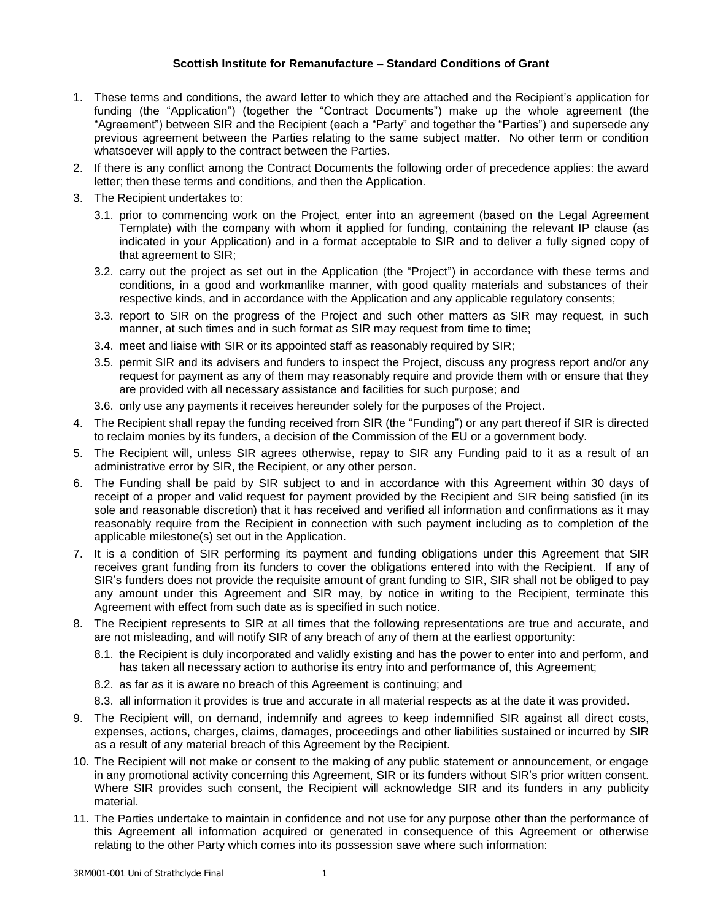## **Scottish Institute for Remanufacture – Standard Conditions of Grant**

- 1. These terms and conditions, the award letter to which they are attached and the Recipient's application for funding (the "Application") (together the "Contract Documents") make up the whole agreement (the "Agreement") between SIR and the Recipient (each a "Party" and together the "Parties") and supersede any previous agreement between the Parties relating to the same subject matter. No other term or condition whatsoever will apply to the contract between the Parties.
- 2. If there is any conflict among the Contract Documents the following order of precedence applies: the award letter; then these terms and conditions, and then the Application.
- 3. The Recipient undertakes to:
	- 3.1. prior to commencing work on the Project, enter into an agreement (based on the Legal Agreement Template) with the company with whom it applied for funding, containing the relevant IP clause (as indicated in your Application) and in a format acceptable to SIR and to deliver a fully signed copy of that agreement to SIR;
	- 3.2. carry out the project as set out in the Application (the "Project") in accordance with these terms and conditions, in a good and workmanlike manner, with good quality materials and substances of their respective kinds, and in accordance with the Application and any applicable regulatory consents;
	- 3.3. report to SIR on the progress of the Project and such other matters as SIR may request, in such manner, at such times and in such format as SIR may request from time to time;
	- 3.4. meet and liaise with SIR or its appointed staff as reasonably required by SIR;
	- 3.5. permit SIR and its advisers and funders to inspect the Project, discuss any progress report and/or any request for payment as any of them may reasonably require and provide them with or ensure that they are provided with all necessary assistance and facilities for such purpose; and
	- 3.6. only use any payments it receives hereunder solely for the purposes of the Project.
- 4. The Recipient shall repay the funding received from SIR (the "Funding") or any part thereof if SIR is directed to reclaim monies by its funders, a decision of the Commission of the EU or a government body.
- 5. The Recipient will, unless SIR agrees otherwise, repay to SIR any Funding paid to it as a result of an administrative error by SIR, the Recipient, or any other person.
- 6. The Funding shall be paid by SIR subject to and in accordance with this Agreement within 30 days of receipt of a proper and valid request for payment provided by the Recipient and SIR being satisfied (in its sole and reasonable discretion) that it has received and verified all information and confirmations as it may reasonably require from the Recipient in connection with such payment including as to completion of the applicable milestone(s) set out in the Application.
- 7. It is a condition of SIR performing its payment and funding obligations under this Agreement that SIR receives grant funding from its funders to cover the obligations entered into with the Recipient. If any of SIR's funders does not provide the requisite amount of grant funding to SIR, SIR shall not be obliged to pay any amount under this Agreement and SIR may, by notice in writing to the Recipient, terminate this Agreement with effect from such date as is specified in such notice.
- 8. The Recipient represents to SIR at all times that the following representations are true and accurate, and are not misleading, and will notify SIR of any breach of any of them at the earliest opportunity:
	- 8.1. the Recipient is duly incorporated and validly existing and has the power to enter into and perform, and has taken all necessary action to authorise its entry into and performance of, this Agreement;
	- 8.2. as far as it is aware no breach of this Agreement is continuing; and
	- 8.3. all information it provides is true and accurate in all material respects as at the date it was provided.
- 9. The Recipient will, on demand, indemnify and agrees to keep indemnified SIR against all direct costs, expenses, actions, charges, claims, damages, proceedings and other liabilities sustained or incurred by SIR as a result of any material breach of this Agreement by the Recipient.
- 10. The Recipient will not make or consent to the making of any public statement or announcement, or engage in any promotional activity concerning this Agreement, SIR or its funders without SIR's prior written consent. Where SIR provides such consent, the Recipient will acknowledge SIR and its funders in any publicity material.
- 11. The Parties undertake to maintain in confidence and not use for any purpose other than the performance of this Agreement all information acquired or generated in consequence of this Agreement or otherwise relating to the other Party which comes into its possession save where such information: